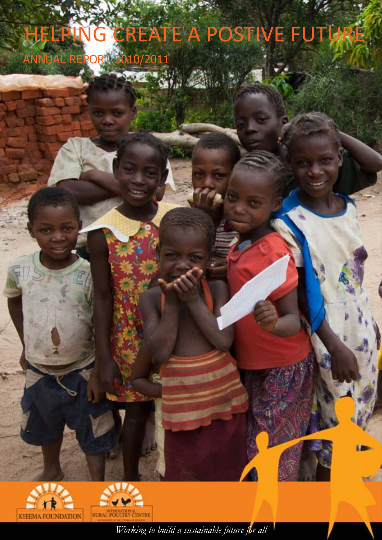# HELPING CREATE A POSTIVE FUTURE

ANNUAL REPORT 2010/2011





*Working to build a sustainable future for all*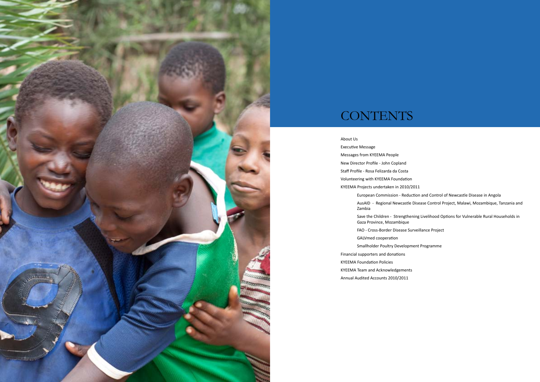

## **CONTENTS**

About Us Executive Message Messages from KYEEMA People New Director Profile - John Copland Staff Profile - Rosa Felizarda da Costa Volunteering with KYEEMA Foundation KYEEMA Projects undertaken in 2010/2011 European Commission - Reduction and Control of Newcastle Disease in Angola AusAID - Regional Newcastle Disease Control Project, Malawi, Mozambique, Tanzania and Zambia Save the Children - Strengthening Livelihood Options for Vulnerable Rural Households in Gaza Province, Mozambique FAO - Cross-Border Disease Surveillance Project GALVmed cooperation Smallholder Poultry Development Programme Financial supporters and donations KYEEMA Foundation Policies KYEEMA Team and Acknowledgements Annual Audited Accounts 2010/2011

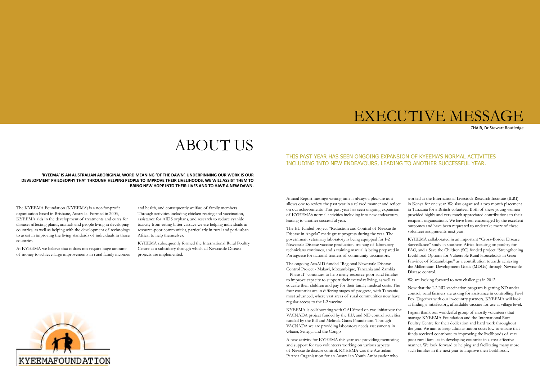## ABOUT US

**'KYEEMA' IS AN AUSTRALIAN ABORIGINAL WORD MEANING 'OF THE DAWN'. UNDERPINNING OUR WORK IS OUR DEVELOPMENT PHILOSOPHY THAT THROUGH HELPING PEOPLE TO IMPROVE THEIR LIVELIHOODS, WE WILL ASSIST THEM TO BRING NEW HOPE INTO THEIR LIVES AND TO HAVE A NEW DAWN.**

The KYEEMA Foundation (KYEEMA) is a not-for-profit organisation based in Brisbane, Australia. Formed in 2003, KYEEMA aids in the development of treatments and cures for diseases affecting plants, animals and people living in developing countries, as well as helping with the development of technology to assist in improving the living standards of individuals in those countries.

At KYEEMA we believe that it does not require huge amounts of money to achieve large improvements in rural family incomes

and health, and consequently welfare of family members. Through activities including chicken rearing and vaccination, assistance for AIDS orphans, and research to reduce cyanide toxicity from eating bitter cassava we are helping individuals in resource-poor communities, particularly in rural and peri-urban Africa, to help themselves.

KYEEMA subsequently formed the International Rural Poultry Centre as a subsidiary through which all Newcastle Disease projects are implemented.



CHAIR, Dr Stewart Routledge



Annual Report message writing time is always a pleasure as it allows one to review the past year in a relaxed manner and reflect on our achievements. This past year has seen ongoing expansion of KYEEMA's normal activities including into new endeavours, leading to another successful year.

The EU funded project "Reduction and Control of Newcastle Disease in Angola" made great progress during the year. The government veterinary laboratory is being equipped for I-2 Newcastle Disease vaccine production, training of laboratory technicians continues, and a training manual is being prepared in Portuguese for national trainers of community vaccinators.

The ongoing AusAID funded "Regional Newcastle Disease Control Project - Malawi, Mozambique, Tanzania and Zambia – Phase II" continues to help many resource-poor rural families to improve capacity to support their everyday living, as well as educate their children and pay for their family medical costs. The four countries are in differing stages of progress, with Tanzania most advanced, where vast areas of rural communities now have regular access to the I-2 vaccine.

KYEEMA is collaborating with GALVmed on two initiatives: the VACNADA project funded by the EU; and ND control activities funded by the Bill and Melinda Gates Foundation. Through VACNADA we are providing laboratory needs assessments in Ghana, Senegal and the Congo.

A new activity for KYEEMA this year was providing mentoring and support for two volunteers working on various aspects of Newcastle disease control. KYEEMA was the Australian Partner Organisation for an Australian Youth Ambassador who



worked at the International Livestock Research Institute (ILRI) in Kenya for one year. We also organised a two month placement in Tanzania for a British volunteer. Both of these young women provided highly and very much appreciated contributions to their recipient organisations. We have been encouraged by the excellent outcomes and have been requested to undertake more of these volunteer assignments next year.

KYEEMA collaborated in an important "Cross-Border Disease Surveillance" study in southern Africa focusing on poultry for FAO, and a Save the Children (SC) funded project "Strengthening Livelihood Options for Vulnerable Rural Households in Gaza Province of Mozambique" as a contribution towards achieving the Millennium Development Goals (MDGs) through Newcastle Disease control.

We are looking forward to new challenges in 2012.

Now that the I-2 ND vaccination program is getting ND under control, rural farmers are asking for assistance in controlling Fowl Pox. Together with our in-country partners, KYEEMA will look at finding a satisfactory, affordable vaccine for use at village level.

I again thank our wonderful group of mostly volunteers that manage KYEEMA Foundation and the International Rural Poultry Centre for their dedication and hard work throughout the year. We aim to keep administration costs low to ensure that funds received contribute to improving the livelihoods of very poor rural families in developing countries in a cost-effective manner. We look forward to helping and facilitating many more such families in the next year to improve their livelihoods.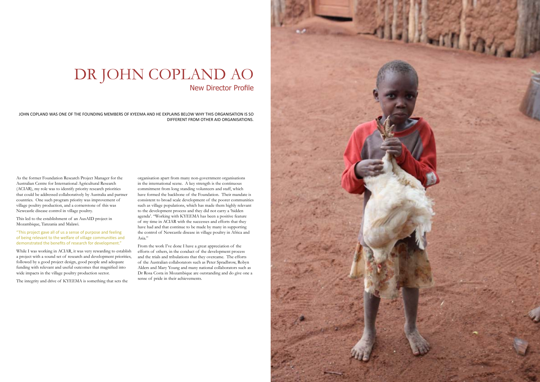## DR JOHN COPLAND AO New Director Profile

JOHN COPLAND WAS ONE OF THE FOUNDING MEMBERS OF KYEEMA AND HE EXPLAINS BELOW WHY THIS ORGANISATION IS SO DIFFERENT FROM OTHER AID ORGANISATIONS.

As the former Foundation Research Project Manager for the Australian Centre for International Agricultural Research (ACIAR), my role was to identify priority research priorities that could be addressed collaboratively by Australia and partner countries. One such program priority was improvement of village poultry production, and a cornerstone of this was Newcastle disease control in village poultry.

This led to the establishment of an AusAID project in Mozambique, Tanzania and Malawi.

"This project gave all of us a sense of purpose and feeling of being relevant to the welfare of village communities and demonstrated the benefits of research for development."

While I was working in ACIAR, it was very rewarding to establish a project with a sound set of research and development priorities, followed by a good project design, good people and adequate funding with relevant and useful outcomes that magnified into wide impacts in the village poultry production sector.

The integrity and drive of KYEEMA is something that sets the

organisation apart from many non-government organisations in the international scene. A key strength is the continuous commitment from long standing volunteers and staff, which have formed the backbone of the Foundation. Their mandate is consistent to broad scale development of the poorer communities such as village populations, which has made them highly relevant to the development process and they did not carry a 'hidden agenda'. "Working with KYEEMA has been a positive feature of my time in ACIAR with the successes and efforts that they have had and that continue to be made by many in supporting the control of Newcastle disease in village poultry in Africa and Asia."

From the work I've done I have a great appreciation of the efforts of others, in the conduct of the development process and the trials and tribulations that they overcame. The efforts of the Australian collaborators such as Peter Spradbrow, Robyn Alders and Mary Young and many national collaborators such as Dr Rosa Costa in Mozambique are outstanding and do give one a sense of pride in their achievements.

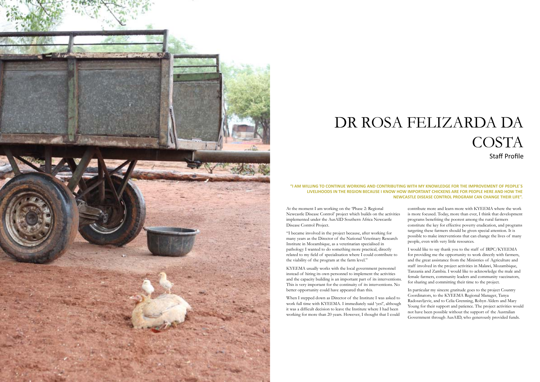At the moment I am working on the 'Phase 2: Regional Newcastle Disease Control' project which builds on the activities implemented under the AusAID Southern Africa Newcastle Disease Control Project.

"I became involved in the project because, after working for many years as the Director of the National Veterinary Research Institute in Mozambique, as a veterinarian specialised in pathology I wanted to do something more practical, directly related to my field of specialisation where I could contribute to the viability of the program at the farm level."

KYEEMA usually works with the local government personnel instead of hiring its own personnel to implement the activities and the capacity building is an important part of its interventions. This is very important for the continuity of its interventions. No better opportunity could have appeared than this.

contribute more and learn more with KYEEMA where the work is more focused. Today, more than ever, I think that development programs benefiting the poorest among the rural farmers constitute the key for effective poverty eradication, and programs targeting these farmers should be given special attention. It is possible to make interventions that can change the lives of many people, even with very little resources.

When I stepped down as Director of the Institute I was asked to work full time with KYEEMA. I immediately said 'yes!', although it was a difficult decision to leave the Institute where I had been working for more than 20 years. However, I thought that I could In particular my sincere gratitude goes to the project Country Coordinators, to the KYEEMA Regional Manager, Tanya Radosavljevic, and to Celia Grenning, Robyn Alders and Mary Young for their support and patience. The project activities would not have been possible without the support of the Australian Government through AusAID, who generously provided funds.

I would like to say thank you to the staff of IRPC/KYEEMA for providing me the opportunity to work directly with farmers, and the great assistance from the Ministries of Agriculture and staff involved in the project activities in Malawi, Mozambique, Tanzania and Zambia. I would like to acknowledge the male and female farmers, community leaders and community vaccinators, for sharing and committing their time to the project.

## DR ROSA FELIZARDA DA COSTA Staff Profile

#### **"I AM WILLING TO CONTINUE WORKING AND CONTRIBUTING WITH MY KNOWLEDGE FOR THE IMPROVEMENT OF PEOPLE´S LIVELIHOODS IN THE REGION BECAUSE I KNOW HOW IMPORTANT CHICKENS ARE FOR PEOPLE HERE AND HOW THE NEWCASTLE DISEASE CONTROL PROGRAM CAN CHANGE THEIR LIFE".**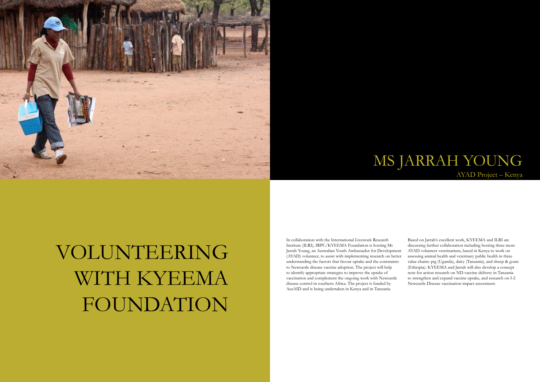



# VOLUNTEERING WITH KYEEMA FOUNDATION

## MS JARRAH YOUNG AYAD Project – Kenya

In collaboration with the International Livestock Research Institute (ILRI), IRPC/KYEEMA Foundation is hosting Ms Jarrah Young, an Australian Youth Ambassador for Development (AYAD) volunteer, to assist with implementing research on better understanding the factors that favour uptake and the constraints to Newcastle disease vaccine adoption. The project will help to identify appropriate strategies to improve the uptake of vaccination and complement the ongoing work with Newcastle disease control in southern Africa. The project is funded by AusAID and is being undertaken in Kenya and in Tanzania. Based on Jarrah's excellent work, KYEEMA and ILRI are discussing further collaboration including hosting three more AYAD volunteer veterinarians, based in Kenya to work on assessing animal health and veterinary public health in three value chains: pig (Uganda), dairy (Tanzania), and sheep & goats (Ethiopia). KYEEMA and Jarrah will also develop a concept note for action research on ND vaccine delivery in Tanzania to strengthen and expand vaccine uptake, and research on I-2 Newcastle Disease vaccination impact assessment.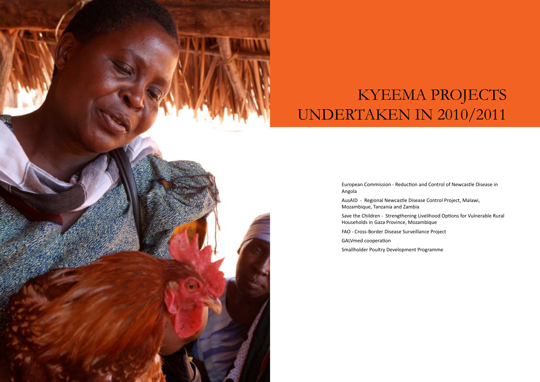

# KYEEMA PROJECTS UNDERTAKEN IN 2010/2011

European Commission - Reduction and Control of Newcastle Disease in

Angola

Mozambique, Tanzania and Zambia

- AusAID Regional Newcastle Disease Control Project, Malawi,
- Save the Children Strengthening Livelihood Options for Vulnerable Rural
	-

Households in Gaza Province, Mozambique

FAO - Cross-Border Disease Surveillance Project

GALVmed cooperation

Smallholder Poultry Development Programme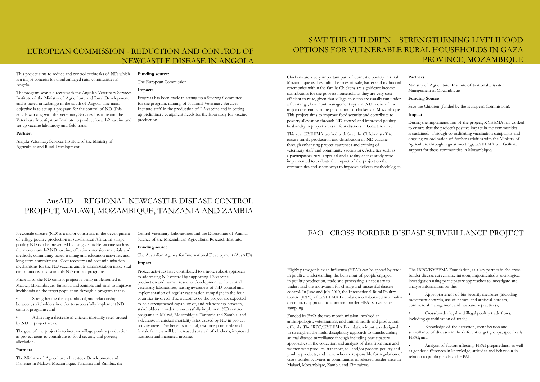### EUROPEAN COMMISSION - REDUCTION AND CONTROL OF NEWCASTLE DISEASE IN ANGOLA

This project aims to reduce and control outbreaks of ND, which is a major concern for disadvantaged rural communities in Angola.

The program works directly with the Angolan Veterinary Services Institute of the Ministry of Agriculture and Rural Development and is based in Lubango in the south of Angola. The main objective is to set up a program for the control of ND. This entails working with the Veterinary Services Institute and the Veterinary Investigation Institute to produce local I-2 vaccine and set up vaccine laboratory and field trials.

#### **Partner:**

Angola Veterinary Services Institute of the Ministry of Agriculture and Rural Development.

#### **Funding source:**

The European Commission.

#### **Impact:**

Progress has been made in setting up a Steering Committee for the program, training of National Veterinary Services Institute staff in the production of I-2 vaccine and in setting up preliminary equipment needs for the laboratory for vaccine production.

## AusAID - REGIONAL NEWCASTLE DISEASE CONTROL PROJECT, MALAWI, MOZAMBIQUE, TANZANIA AND ZAMBIA

Newcastle disease (ND) is a major constraint in the development of village poultry production in sub-Saharan Africa. In village poultry ND can be prevented by using a suitable vaccine such as thermotolerant I-2 ND vaccine, effective extension materials and methods, community-based training and education activities, and long-term commitment. Cost recovery and cost minimisation mechanisms for the ND vaccine and its administration make vital contributions to sustainable ND control programs.

Phase II of the ND control project is being implemented in Malawi, Mozambique, Tanzania and Zambia and aims to improve livelihoods of the target population through a program that is:

• Strengthening the capability of, and relationship between, stakeholders in order to successfully implement ND control programs; and

• Achieving a decrease in chicken mortality rates caused by ND in project areas.

The goal of the project is to increase village poultry production in project areas to contribute to food security and poverty alleviation.

### **Partners**

The Ministry of Agriculture /Livestock Development and Fisheries in Malawi, Mozambique, Tanzania and Zambia, the

During the implementation of the project, KYEEMA has worked to ensure that the project's positive impact in the communities is sustained. Through co-ordinating vaccination campaigns and ongoing co-ordination of further activities with the Ministry of Agriculture through regular meetings, KYEEMA will facilitate support for these communities in Mozambique.

Central Veterinary Laboratories and the Directorate of Animal Science of the Mozambican Agricultural Research Institute.

### **Funding source**

The Australian Agency for International Development (AusAID)

#### **Impact**

Project activities have contributed to a more robust approach to addressing ND control by supporting I-2 vaccine production and human resource development at the central veterinary laboratories, raising awareness of ND control and implementation of regular vaccination campaigns in the four countries involved. The outcomes of the project are expected to be a strengthened capability of, and relationship between, stakeholders in order to successfully implement ND control programs in Malawi, Mozambique, Tanzania and Zambia, and a decrease in chicken mortality rates caused by ND in project activity areas. The benefits to rural, resource-poor male and female farmers will be increased survival of chickens, improved nutrition and increased income.

## SAVE THE CHILDREN - STRENGTHENING LIVELIHOOD OPTIONS FOR VULNERABLE RURAL HOUSEHOLDS IN GAZA PROVINCE, MOZAMBIQUE

Chickens are a very important part of domestic poultry in rural Mozambique as they fulfil the roles of sale, barter and traditional ceremonies within the family. Chickens are significant income contributors for the poorest household as they are very costefficient to raise, given that village chickens are usually run under a free-range, low input management system. ND is one of the major constraints to the production of chickens in Mozambique. This project aims to improve food security and contribute to poverty alleviation through ND control and improved poultry husbandry in project areas in four districts in Gaza Province.

This year KYEEMA worked with Save the Children staff to ensure timely production and distribution of ND vaccine, through enhancing project awareness and training of veterinary staff and community vaccinators. Activities such as a participatory rural appraisal and a reality checks study were implemented to evaluate the impact of the project on the communities and assess ways to improve delivery methodologies.

### **Partners**

Ministry of Agriculture, Institute of National Disaster Management in Mozambique.

### **Funding Source**

Save the Children (funded by the European Commission).

### **Impact**

### FAO - CROSS-BORDER DISEASE SURVEILLANCE PROJECT

Highly pathogenic avian influenza (HPAI) can be spread by trade in poultry. Understanding the behaviour of people engaged in poultry production, trade and processing is necessary to understand the motivation for change and successful disease control. In June and July 2010, the International Rural Poultry Centre (IRPC) of KYEEMA Foundation collaborated in a multidisciplinary approach to common border HPAI surveillance sampling.

Funded by FAO, the two month mission involved an anthropologist, veterinarians, and animal health and production officials. The IRPC/KYEEMA Foundation input was designed to strengthen the multi-disciplinary approach to transboundary animal disease surveillance through including participatory approaches in the collection and analysis of data from men and women who produce, transport, sell and/or process poultry and poultry products, and those who are responsible for regulation of cross-border activities in communities in selected border areas in Malawi, Mozambique, Zambia and Zimbabwe.

The IRPC/KYEEMA Foundation, as a key partner in the crossborder disease surveillance mission, implemented a sociological investigation using participatory approaches to investigate and analyse information on the:

• Appropriateness of bio-security measures (including movement controls, use of natural and artificial borders, commercial management and husbandry practices);

• Cross-border legal and illegal poultry trade flows, including quantification of trade;

• Knowledge of the detection, identification and surveillance of diseases in the different target groups, specifically HPAI; and

• Analysis of factors affecting HPAI preparedness as well as gender differences in knowledge, attitudes and behaviour in relation to poultry trade and HPAI.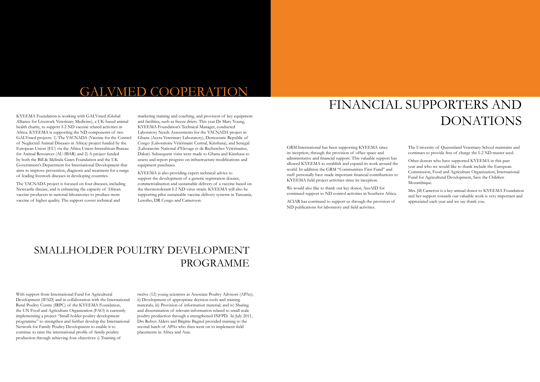## GALVMED COOPERATION

KYEEMA Foundation is working with GALVmed (Global Alliance for Livestock Veterinary Medicine), a UK-based animal health charity, to support I-2 ND vaccine related activities in Africa. KYEEMA is supporting the ND components of two GALVmed projects: 1) The VACNADA (Vaccine for the Control of Neglected Animal Diseases in Africa) project funded by the European Union (EU) via the Africa Union-Interafrican Bureau for Animal Resources (AU-IBAR) and 2) A project funded by both the Bill & Melinda Gates Foundation and the UK Government's Department for International Development that aims to improve prevention, diagnosis and treatment for a range of leading livestock diseases in developing countries.

The VACNADA project is focused on four diseases, including Newcastle disease, and is enhancing the capacity of African vaccine producers in national laboratories to produce more vaccine of higher quality. The support covers technical and

marketing training and coaching, and provision of key equipment and facilities, such as freeze driers. This year Dr Mary Young, KYEEMA Foundation's Technical Manager, conducted Laboratory Needs Assessments for the VACNADA project in Ghana (Accra Veterinary Laboratory), Democratic Republic of Congo (Laboratoire Vétérinaire Central, Kinshasa), and Senegal (Laboratoire National d'Elevage et de Recherches Vètèrinaires, Dakar). Subsequent visits were made to Ghana and Kinshasa to assess and report progress on infrastructure modifications and equipment purchases.

Other donors who have supported KYEEMA in this past year and who we would like to thank include the European Commission, Food and Agriculture Organization, International Fund for Agricultural Development, Save the Children Mozambique.

KYEEMA is also providing expert technical advice to support the development of a generic registration dossier, commercialisation and sustainable delivery of a vaccine based on the thermotolerant I-2 ND virus strain. KYEEMA will also be supporting pilot sustainable vaccine delivery systems in Tanzania, Lesotho, DR Congo and Cameroon.

## FINANCIAL SUPPORTERS AND DONATIONS

GRM International has been supporting KYEEMA since its inception, through the provision of office space and administrative and financial support. This valuable support has allowed KYEEMA to establish and expand its work around the world. In addition the GRM "Communities First Fund" and staff personally have made important financial contributions to KYEEMA field project activities since its inception.

We would also like to thank our key donor, AusAID for continued support to ND control activities in Southern Africa.

ACIAR has continued to support us through the provision of ND publications for laboratory and field activities.

The University of Queensland Veterinary School maintains and continues to provide free of charge the I-2 ND master seed.

Mrs. Jill Cameron is a key annual donor to KYEEMA Foundation and her support towards our valuable work is very important and appreciated each year and we say thank you.

## SMALLHOLDER POULTRY DEVELOPMENT PROGRAMME

With support from International Fund for Agricultural Development (IFAD) and in collaboration with the International Rural Poultry Centre (IRPC) of the KYEEMA Foundation, the UN Food and Agriculture Organization (FAO) is currently implementing a project "Small holder poultry development programme" to strengthen and further develop the International Network for Family Poultry Development to enable it to continue to raise the international profile of family poultry production through achieving four objectives: i) Training of

twelve (12) young scientists as Associate Poultry Advisors (APAs); ii) Development of appropriate decision tools and training materials; iii) Provision of information material; and iv) Sharing and dissemination of relevant information related to small scale poultry production through a strengthened INFPD. In July 2011, Drs Robyn Alders and Brigitte Bagnol provided training to the second batch of APAs who then went on to implement field placements in Africa and Asia.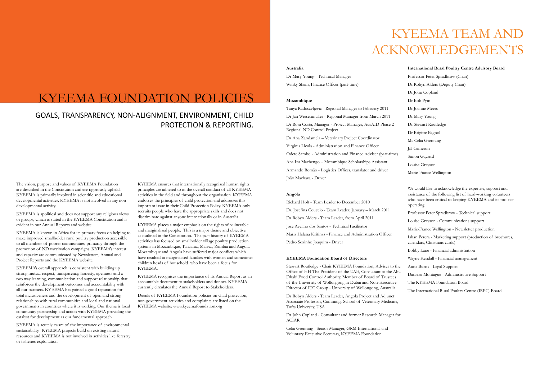## KYEEMA FOUNDATION POLICIES

## KYEEMA TEAM AND ACKNOWLEDGEMENTS

#### **Australia**

Dr Mary Young - Technical Manager Winky Sham, Finance Officer (part-time)

#### **Mozambique**

Tanya Radosavljevic - Regional Manager to February 2011 Dr Jan Wiesenmuller - Regional Manager from March 2011 Dr Rosa Costa, Manager - Project Manager, AusAID Phase 2 Regional ND Control Project Dr Ana Zandamela – Veterinary Project Coordinator Virginia Licula - Administration and Finance Officer

Odete Sambo - Administration and Finance Adviser (part-time) Ana Iza Machengo – Mozambique Scholarships Assistant Armando Romão - Logistics Officer, translator and driver João Machava - Driver

#### **Angola**

Richard Holt - Team Leader to December 2010 Dr. Josefina Coucelo - Team Leader, January – March 2011 Dr Robyn Alders - Team Leader, from April 2011 José Avelino dos Santos - Technical Facilitator Maria Helena Kritinas - Finance and Administration Officer Pedro Sozinho Joaquim - Driver

### **KYEEMA Foundation Board of Directors**

Stewart Routledge - Chair KYEEMA Foundation, Adviser to the Office of HH The President of the UAE, Consultant to the Abu Dhabi Food Control Authority, Member of Board of Trustees of the University of Wollongong in Dubai and Non-Executive Director of ITC Group - University of Wollongong, Australia.

Dr Robyn Alders - Team Leader, Angola Project and Adjunct Associate Professor, Cummings School of Veterinary Medicine, Tufts University, USA

Dr John Copland - Consultant and former Research Manager for ACIAR

Celia Grenning - Senior Manager, GRM International and Voluntary Executive Secretary, KYEEMA Foundation

#### **International Rural Poultry Centre Advisory Board**

- Professor Peter Spradbrow (Chair)
- Dr Robyn Alders (Deputy Chair)
- Dr John Copland
- Dr Bob Pym
- Dr Joanne Meers
- Dr Mary Young
- Dr Stewart Routledge
- Dr Brigitte Bagnol
- Ms Celia Grenning
- Jill Cameron
- Simon Gaylard
- Louise Grayson
- Marie-France Wellington

We would like to acknowledge the expertise, support and assistance of the following list of hard-working volunteers who have been critical to keeping KYEEMA and its projects operating.

- Professor Peter Spradbrow Technical support
- Louise Grayson Communications support
- Marie-France Wellington Newsletter production
- Ishan Perera Marketing support (production of brochures, calendars, Christmas cards)
- Bobby Lane Financial administration
- Wayne Kendall Financial management
- Anne Burns Legal Support
- Danieka Montague Administrative Support
- The KYEEMA Foundation Board
- The International Rural Poultry Centre (IRPC) Board

### GOALS, TRANSPARENCY, NON-ALIGNMENT, ENVIRONMENT, CHILD PROTECTION & REPORTING.

The vision, purpose and values of KYEEMA Foundation are described in the Constitution and are rigorously upheld. KYEEMA is primarily involved in scientific and educational developmental activities. KYEEMA is not involved in any non developmental activity.

KYEEMA is apolitical and does not support any religious views or groups, which is stated in the KYEEMA Constitution and is evident in our Annual Reports and website.

KYEEMA is known in Africa for its primary focus on helping to make improved smallholder rural poultry production accessible to all members of poorer communities, primarily through the promotion of ND vaccination campaigns. KYEEMA's interest and capacity are communicated by Newsletters, Annual and Project Reports and the KYEEMA website.

KYEEMA's overall approach is consistent with building up strong mutual respect, transparency, honesty, openness and a two way learning, communication and support relationship that reinforces the development outcomes and accountability with all our partners. KYEEMA has gained a good reputation for total inclusiveness and the development of open and strong relationships with rural communities and local and national governments in countries where it is working. Our theme is local community partnership and action with KYEEMA providing the catalyst for development as our fundamental approach.

KYEEMA is acutely aware of the importance of environmental sustainability. KYEEMA projects build on existing natural resources and KYEEMA is not involved in activities like forestry or fisheries exploitation.

KYEEMA ensures that internationally recognised human rights principles are adhered to in the overall conduct of all KYEEMA activities in the field and throughout the organisation. KYEEMA endorses the principles of child protection and addresses this important issue in their Child Protection Policy. KYEEMA only recruits people who have the appropriate skills and does not discriminate against anyone internationally or in Australia.

KYEEMA places a major emphasis on the rights of vulnerable and marginalised people. This is a major theme and objective as outlined in the Constitution. The past history of KYEEMA activities has focused on smallholder village poultry production systems in Mozambique, Tanzania, Malawi, Zambia and Angola. Mozambique and Angola have suffered major conflicts which have resulted in marginalised families with women and sometimes children heads of household who have been a focus for KYEEMA.

KYEEMA recognises the importance of its Annual Report as an accountable document to stakeholders and donors. KYEEMA currently circulates the Annual Report to Stakeholders.

Details of KYEEMA Foundation policies on child protection, non-government activities and complaints are listed on the KYEEMA website: www.kyeemafoundation.org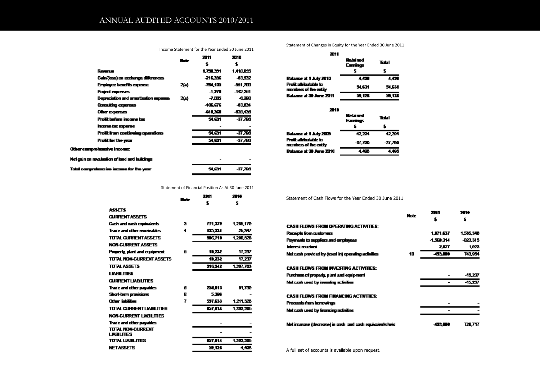Income Statement for the Year Ended 30 June 2011

|                                                | <b>Marie</b> | 2011      | 2010      |
|------------------------------------------------|--------------|-----------|-----------|
|                                                |              | \$        | s.        |
| Revenue                                        |              | 1,731,351 | 1,418,055 |
| Gain(loss) on exchange differences             |              | -216,336  | -83.532   |
| Employee benefils expense                      | 26.          | -74.115   | -451.700  |
| Project experces                               |              | -1.ZM     | -142,251  |
| Depreciation and amortisation expense          | 26.          | 孔耶        | -8.238    |
| Consulting expenses                            |              | -106,676  | HELEB-    |
| <b>Other experises</b>                         |              | -611,362  | -628,438  |
| Prolit before income tax                       |              | 54.GM     | -37,708   |
| home lax expense                               |              |           |           |
| Prolit from continuing operations              |              | 54.GM     | -37,788   |
| Prolit for the year                            |              | 54, EM    | -37,708   |
| Other comprehensive income:                    |              |           |           |
| Nel gain on recalculion of land and buildings. |              |           |           |
| Total comprehensive income for the year.       |              | 54.GM     | -37,708   |

Statement of Financial Position As At 30 June 2011

|                                        | . . | 21 H<br>\$     | ж.<br>s.      |
|----------------------------------------|-----|----------------|---------------|
| <b>ASSETS</b>                          |     |                |               |
| <b>CURRENT ASSETS</b>                  |     |                |               |
| Cash and eash equivalents              | я   | 771.379        | 1.205.179     |
| Trade and other receivables.           | 4   | 135.331        | 25.347        |
| TOTAL CURRENT ASSETS                   |     | <b>396,719</b> | 1,290,526     |
| <b>NON-CURRENT ASSETS</b>              |     |                |               |
| Property, plant and equipment          | 5   | 11,232         | 17,237        |
| TOTAL NON-CLIBRENT ASSETS              |     | 11,232         | 17,237        |
| <b>TOTAL ASSETS</b>                    |     | 916.542        | 1,307,763     |
| <b>LIGHT ITTES</b>                     |     |                |               |
| <b>CURRENT LIVEILITIES</b>             |     |                |               |
| Trade and other payables               | A   | 254,815        | <b>P1.739</b> |
| <b>Shortlerm provisions</b>            | R   | 5.366          |               |
| Other liabilities                      | 7   | 597.633        | 1,211,526     |
| TOTAL CURRENT LIABILITIES.             |     | <b>157.L14</b> | 1,303,225     |
| NON-CURRENT LIABILITIES                |     |                |               |
| Trade and other payables               |     |                |               |
| total ikwacilirent<br><b>LWALITIES</b> |     |                |               |
| TOTAL LIABILITIES                      |     | 157, I. 14     | 1,303,265     |
| <b>NETASSETS</b>                       |     | 59.128         | 4.400         |

Statement of Changes in Equity for the Year Ended 30 June 2011

| ZM 1                                            |                      |        |
|-------------------------------------------------|----------------------|--------|
|                                                 | Rebrined<br>Earnings | Trisl  |
|                                                 |                      | 5      |
| Balance at 1 July 2010                          | 4.436                | 4.456  |
| Profit attributable to<br>members of the entity | 51.531               | 51.631 |
| Balance at 30 June 2011                         | 59.122               | 51.129 |

| 21 D                                            |                      |         |
|-------------------------------------------------|----------------------|---------|
|                                                 | Relaired<br>Earnings | Total   |
|                                                 |                      | s       |
| Balance at 1 July 2009                          | 42.224               | 42.294  |
| Profit attributable to<br>members of the entity | -37.798              | -37.798 |
| Balance at 30 June 2010                         | 4.485                | 1.420   |

Statement of Cash Flows for the Year Ended 30 June 2011

| <b>CASH FLOWS FROM OPERATING ACTIVITY:</b>          |
|-----------------------------------------------------|
| Receipts from customers                             |
| Payments to suppliers and employees                 |
| interest received                                   |
| Net cash provided by (used in) operating activities |
| <b>CASH ELOWS FROM INVESTING ACTIVITIES:</b>        |
| Purchase of property, plant and equipment           |
| Net cash used by investing activities               |

**CASH FLOWS FROM FINANCING ACTIVITIES:** Proceeds from borrowings Net cash used by financing activities

Net increase (decrease) in cash and cash equivalents held

A full set of accounts is available upon request.

| Note | ,,,,      | er        |
|------|-----------|-----------|
|      | \$        | \$        |
|      | 1,071,637 | 1,565,346 |
|      | 1,588,314 | -823,315  |
|      | 2.07      | 1,923     |
| 10   | 493,660   | 743,954   |
|      |           |           |
|      |           | $-15,237$ |
|      |           | $-15,237$ |
|      |           |           |
|      |           |           |
|      |           |           |
|      | 493,800   | 728,717   |

2011

2844